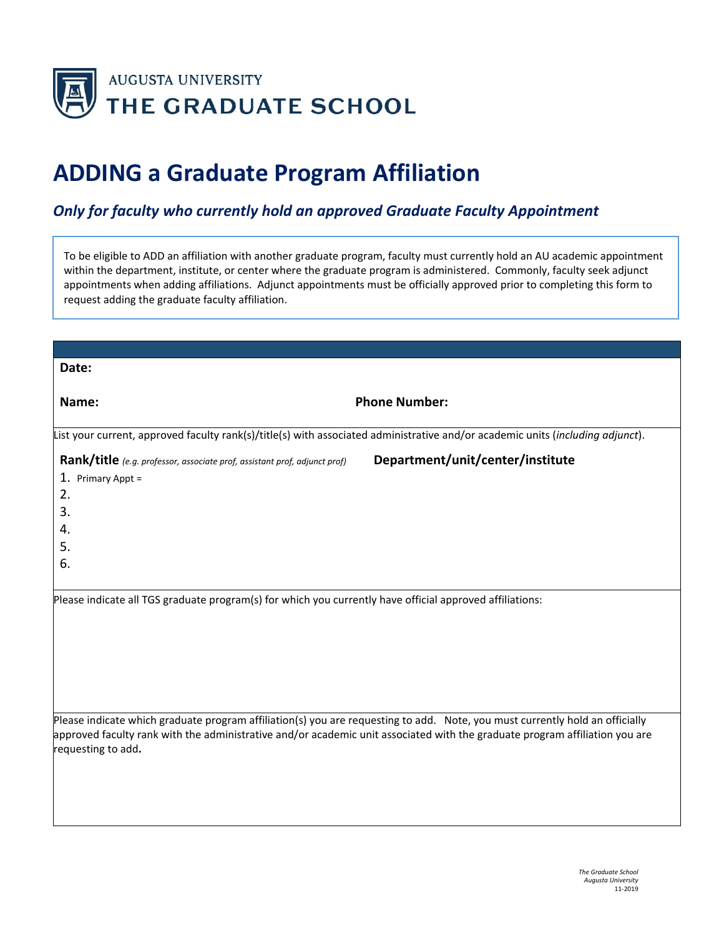

## **ADDING a Graduate Program Affiliation**

## *Only for faculty who currently hold an approved Graduate Faculty Appointment*

To be eligible to ADD an affiliation with another graduate program, faculty must currently hold an AU academic appointment within the department, institute, or center where the graduate program is administered. Commonly, faculty seek adjunct appointments when adding affiliations. Adjunct appointments must be officially approved prior to completing this form to request adding the graduate faculty affiliation.

| Date:                                                                                                                                                                                                                                                                             |                                  |
|-----------------------------------------------------------------------------------------------------------------------------------------------------------------------------------------------------------------------------------------------------------------------------------|----------------------------------|
| Name:                                                                                                                                                                                                                                                                             | <b>Phone Number:</b>             |
| List your current, approved faculty rank(s)/title(s) with associated administrative and/or academic units (including adjunct).                                                                                                                                                    |                                  |
| Rank/title (e.g. professor, associate prof, assistant prof, adjunct prof)<br>1. Primary Appt =<br>2.<br>3.<br>4.<br>5.<br>6.                                                                                                                                                      | Department/unit/center/institute |
| Please indicate all TGS graduate program(s) for which you currently have official approved affiliations:                                                                                                                                                                          |                                  |
| Please indicate which graduate program affiliation(s) you are requesting to add. Note, you must currently hold an officially<br>approved faculty rank with the administrative and/or academic unit associated with the graduate program affiliation you are<br>requesting to add. |                                  |